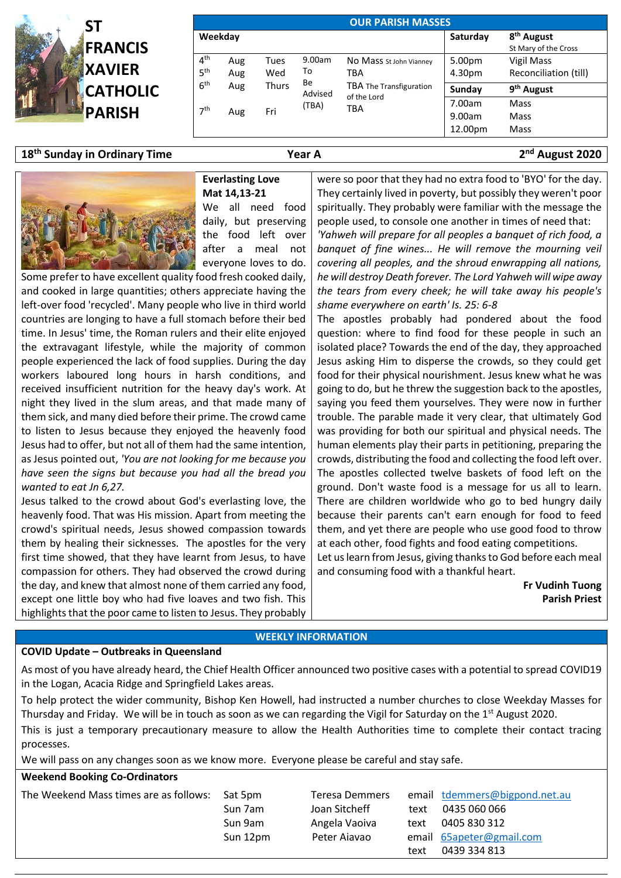

| <b>OUR PARISH MASSES</b>           |            |                   |               |                                                                                 |                             |                                                |  |  |  |  |
|------------------------------------|------------|-------------------|---------------|---------------------------------------------------------------------------------|-----------------------------|------------------------------------------------|--|--|--|--|
| Weekday                            |            |                   |               |                                                                                 | Saturday                    | 8 <sup>th</sup> August<br>St Mary of the Cross |  |  |  |  |
| 4 <sup>th</sup><br>5 <sup>th</sup> | Aug<br>Aug | Tues<br>То<br>Wed | 9.00am        | No Mass st John Vianney<br>TBA<br>TBA The Transfiguration<br>of the Lord<br>TBA | 5.00pm<br>4.30pm            | Vigil Mass<br>Reconciliation (till)            |  |  |  |  |
| 6 <sup>th</sup>                    | Aug        | Thurs             | Be<br>Advised |                                                                                 | Sunday                      | 9 <sup>th</sup> August                         |  |  |  |  |
| 7 <sup>th</sup>                    | Aug        | Fri               | (TBA)         |                                                                                 | 7.00am<br>9.00am<br>12.00pm | Mass<br>Mass<br>Mass                           |  |  |  |  |

# **18 th Sunday in Ordinary Time Year A 2**



### **nd August 2020**

#### **Everlasting Love Mat 14,13-21**

We all need food daily, but preserving the food left over after a meal not everyone loves to do.

Some prefer to have excellent quality food fresh cooked daily, and cooked in large quantities; others appreciate having the left-over food 'recycled'. Many people who live in third world countries are longing to have a full stomach before their bed time. In Jesus' time, the Roman rulers and their elite enjoyed the extravagant lifestyle, while the majority of common people experienced the lack of food supplies. During the day workers laboured long hours in harsh conditions, and received insufficient nutrition for the heavy day's work. At night they lived in the slum areas, and that made many of them sick, and many died before their prime. The crowd came to listen to Jesus because they enjoyed the heavenly food Jesus had to offer, but not all of them had the same intention, as Jesus pointed out, *'You are not looking for me because you have seen the signs but because you had all the bread you wanted to eat Jn 6,27.*

Jesus talked to the crowd about God's everlasting love, the heavenly food. That was His mission. Apart from meeting the crowd's spiritual needs, Jesus showed compassion towards them by healing their sicknesses. The apostles for the very first time showed, that they have learnt from Jesus, to have compassion for others. They had observed the crowd during the day, and knew that almost none of them carried any food, except one little boy who had five loaves and two fish. This highlights that the poor came to listen to Jesus. They probably

were so poor that they had no extra food to 'BYO' for the day. They certainly lived in poverty, but possibly they weren't poor spiritually. They probably were familiar with the message the people used, to console one another in times of need that: *'Yahweh will prepare for all peoples a banquet of rich food, a banquet of fine wines... He will remove the mourning veil covering all peoples, and the shroud enwrapping all nations, he will destroy Death forever. The Lord Yahweh will wipe away the tears from every cheek; he will take away his people's shame everywhere on earth' Is. 25: 6-8*

The apostles probably had pondered about the food question: where to find food for these people in such an isolated place? Towards the end of the day, they approached Jesus asking Him to disperse the crowds, so they could get food for their physical nourishment. Jesus knew what he was going to do, but he threw the suggestion back to the apostles, saying you feed them yourselves. They were now in further trouble. The parable made it very clear, that ultimately God was providing for both our spiritual and physical needs. The human elements play their parts in petitioning, preparing the crowds, distributing the food and collecting the food left over. The apostles collected twelve baskets of food left on the ground. Don't waste food is a message for us all to learn. There are children worldwide who go to bed hungry daily because their parents can't earn enough for food to feed them, and yet there are people who use good food to throw at each other, food fights and food eating competitions.

Let us learn from Jesus, giving thanks to God before each meal and consuming food with a thankful heart.

> **Fr Vudinh Tuong Parish Priest**

## **WEEKLY INFORMATION**

#### **COVID Update – Outbreaks in Queensland**

As most of you have already heard, the Chief Health Officer announced two positive cases with a potential to spread COVID19 in the Logan, Acacia Ridge and Springfield Lakes areas.

To help protect the wider community, Bishop Ken Howell, had instructed a number churches to close Weekday Masses for Thursday and Friday. We will be in touch as soon as we can regarding the Vigil for Saturday on the 1<sup>st</sup> August 2020.

This is just a temporary precautionary measure to allow the Health Authorities time to complete their contact tracing processes.

We will pass on any changes soon as we know more. Everyone please be careful and stay safe.

## **Weekend Booking Co-Ordinators**

| The Weekend Mass times are as follows: | Sat 5pm<br>Sun 7am<br>Sun 9am | Teresa Demmers<br>Joan Sitcheff<br>Angela Vaoiva | text<br>text | email tdemmers@bigpond.net.au<br>0435 060 066<br>0405 830 312 |
|----------------------------------------|-------------------------------|--------------------------------------------------|--------------|---------------------------------------------------------------|
|                                        | Sun 12pm                      | Peter Aiavao                                     |              | email 65apeter@gmail.com                                      |
|                                        |                               |                                                  | text         | 0439 334 813                                                  |